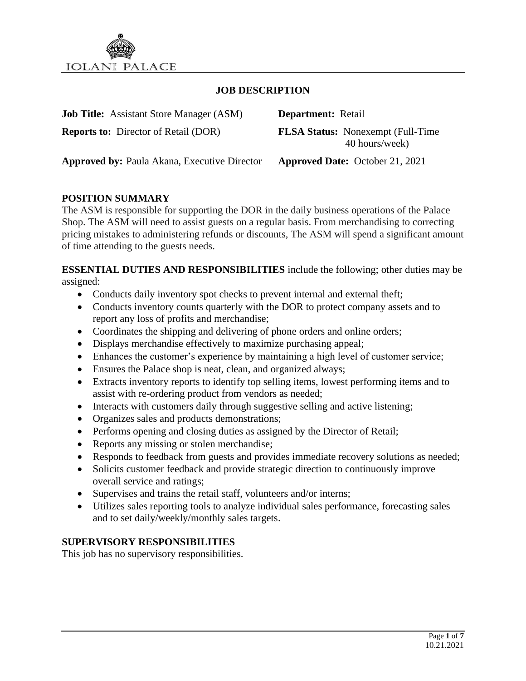

## **JOB DESCRIPTION**

| <b>Job Title:</b> Assistant Store Manager (ASM)     | <b>Department:</b> Retail                                   |
|-----------------------------------------------------|-------------------------------------------------------------|
| <b>Reports to:</b> Director of Retail (DOR)         | <b>FLSA Status:</b> Nonexempt (Full-Time)<br>40 hours/week) |
| <b>Approved by: Paula Akana, Executive Director</b> | <b>Approved Date: October 21, 2021</b>                      |

## **POSITION SUMMARY**

The ASM is responsible for supporting the DOR in the daily business operations of the Palace Shop. The ASM will need to assist guests on a regular basis. From merchandising to correcting pricing mistakes to administering refunds or discounts, The ASM will spend a significant amount of time attending to the guests needs.

**ESSENTIAL DUTIES AND RESPONSIBILITIES** include the following; other duties may be assigned:

- Conducts daily inventory spot checks to prevent internal and external theft;
- Conducts inventory counts quarterly with the DOR to protect company assets and to report any loss of profits and merchandise;
- Coordinates the shipping and delivering of phone orders and online orders;
- Displays merchandise effectively to maximize purchasing appeal;
- Enhances the customer's experience by maintaining a high level of customer service;
- Ensures the Palace shop is neat, clean, and organized always;
- Extracts inventory reports to identify top selling items, lowest performing items and to assist with re-ordering product from vendors as needed;
- Interacts with customers daily through suggestive selling and active listening;
- Organizes sales and products demonstrations;
- Performs opening and closing duties as assigned by the Director of Retail;
- Reports any missing or stolen merchandise;
- Responds to feedback from guests and provides immediate recovery solutions as needed;
- Solicits customer feedback and provide strategic direction to continuously improve overall service and ratings;
- Supervises and trains the retail staff, volunteers and/or interns;
- Utilizes sales reporting tools to analyze individual sales performance, forecasting sales and to set daily/weekly/monthly sales targets.

## **SUPERVISORY RESPONSIBILITIES**

This job has no supervisory responsibilities.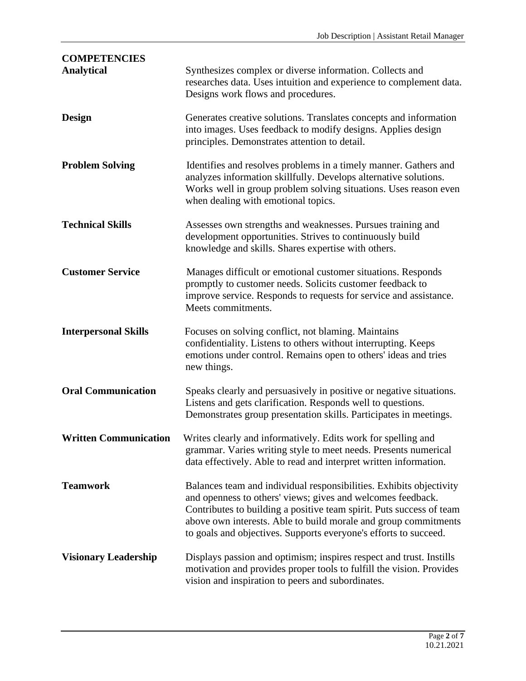| <b>COMPETENCIES</b><br><b>Analytical</b> | Synthesizes complex or diverse information. Collects and<br>researches data. Uses intuition and experience to complement data.<br>Designs work flows and procedures.                                                                                                                                                                              |
|------------------------------------------|---------------------------------------------------------------------------------------------------------------------------------------------------------------------------------------------------------------------------------------------------------------------------------------------------------------------------------------------------|
| <b>Design</b>                            | Generates creative solutions. Translates concepts and information<br>into images. Uses feedback to modify designs. Applies design<br>principles. Demonstrates attention to detail.                                                                                                                                                                |
| <b>Problem Solving</b>                   | Identifies and resolves problems in a timely manner. Gathers and<br>analyzes information skillfully. Develops alternative solutions.<br>Works well in group problem solving situations. Uses reason even<br>when dealing with emotional topics.                                                                                                   |
| <b>Technical Skills</b>                  | Assesses own strengths and weaknesses. Pursues training and<br>development opportunities. Strives to continuously build<br>knowledge and skills. Shares expertise with others.                                                                                                                                                                    |
| <b>Customer Service</b>                  | Manages difficult or emotional customer situations. Responds<br>promptly to customer needs. Solicits customer feedback to<br>improve service. Responds to requests for service and assistance.<br>Meets commitments.                                                                                                                              |
| <b>Interpersonal Skills</b>              | Focuses on solving conflict, not blaming. Maintains<br>confidentiality. Listens to others without interrupting. Keeps<br>emotions under control. Remains open to others' ideas and tries<br>new things.                                                                                                                                           |
| <b>Oral Communication</b>                | Speaks clearly and persuasively in positive or negative situations.<br>Listens and gets clarification. Responds well to questions.<br>Demonstrates group presentation skills. Participates in meetings.                                                                                                                                           |
| <b>Written Communication</b>             | Writes clearly and informatively. Edits work for spelling and<br>grammar. Varies writing style to meet needs. Presents numerical<br>data effectively. Able to read and interpret written information.                                                                                                                                             |
| <b>Teamwork</b>                          | Balances team and individual responsibilities. Exhibits objectivity<br>and openness to others' views; gives and welcomes feedback.<br>Contributes to building a positive team spirit. Puts success of team<br>above own interests. Able to build morale and group commitments<br>to goals and objectives. Supports everyone's efforts to succeed. |
| <b>Visionary Leadership</b>              | Displays passion and optimism; inspires respect and trust. Instills<br>motivation and provides proper tools to fulfill the vision. Provides<br>vision and inspiration to peers and subordinates.                                                                                                                                                  |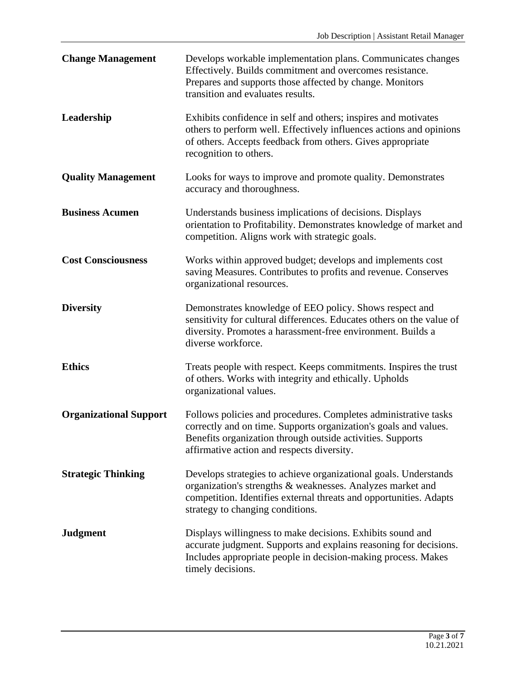| <b>Change Management</b>      | Develops workable implementation plans. Communicates changes<br>Effectively. Builds commitment and overcomes resistance.<br>Prepares and supports those affected by change. Monitors<br>transition and evaluates results.                       |
|-------------------------------|-------------------------------------------------------------------------------------------------------------------------------------------------------------------------------------------------------------------------------------------------|
| Leadership                    | Exhibits confidence in self and others; inspires and motivates<br>others to perform well. Effectively influences actions and opinions<br>of others. Accepts feedback from others. Gives appropriate<br>recognition to others.                   |
| <b>Quality Management</b>     | Looks for ways to improve and promote quality. Demonstrates<br>accuracy and thoroughness.                                                                                                                                                       |
| <b>Business Acumen</b>        | Understands business implications of decisions. Displays<br>orientation to Profitability. Demonstrates knowledge of market and<br>competition. Aligns work with strategic goals.                                                                |
| <b>Cost Consciousness</b>     | Works within approved budget; develops and implements cost<br>saving Measures. Contributes to profits and revenue. Conserves<br>organizational resources.                                                                                       |
| <b>Diversity</b>              | Demonstrates knowledge of EEO policy. Shows respect and<br>sensitivity for cultural differences. Educates others on the value of<br>diversity. Promotes a harassment-free environment. Builds a<br>diverse workforce.                           |
| <b>Ethics</b>                 | Treats people with respect. Keeps commitments. Inspires the trust<br>of others. Works with integrity and ethically. Upholds<br>organizational values.                                                                                           |
| <b>Organizational Support</b> | Follows policies and procedures. Completes administrative tasks<br>correctly and on time. Supports organization's goals and values.<br>Benefits organization through outside activities. Supports<br>affirmative action and respects diversity. |
| <b>Strategic Thinking</b>     | Develops strategies to achieve organizational goals. Understands<br>organization's strengths & weaknesses. Analyzes market and<br>competition. Identifies external threats and opportunities. Adapts<br>strategy to changing conditions.        |
| <b>Judgment</b>               | Displays willingness to make decisions. Exhibits sound and<br>accurate judgment. Supports and explains reasoning for decisions.<br>Includes appropriate people in decision-making process. Makes<br>timely decisions.                           |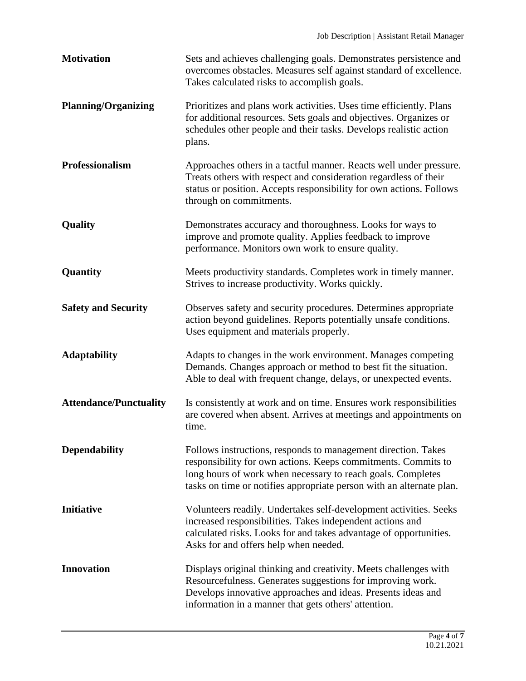| <b>Motivation</b>             | Sets and achieves challenging goals. Demonstrates persistence and<br>overcomes obstacles. Measures self against standard of excellence.<br>Takes calculated risks to accomplish goals.                                                                                |
|-------------------------------|-----------------------------------------------------------------------------------------------------------------------------------------------------------------------------------------------------------------------------------------------------------------------|
| <b>Planning/Organizing</b>    | Prioritizes and plans work activities. Uses time efficiently. Plans<br>for additional resources. Sets goals and objectives. Organizes or<br>schedules other people and their tasks. Develops realistic action<br>plans.                                               |
| <b>Professionalism</b>        | Approaches others in a tactful manner. Reacts well under pressure.<br>Treats others with respect and consideration regardless of their<br>status or position. Accepts responsibility for own actions. Follows<br>through on commitments.                              |
| Quality                       | Demonstrates accuracy and thoroughness. Looks for ways to<br>improve and promote quality. Applies feedback to improve<br>performance. Monitors own work to ensure quality.                                                                                            |
| Quantity                      | Meets productivity standards. Completes work in timely manner.<br>Strives to increase productivity. Works quickly.                                                                                                                                                    |
| <b>Safety and Security</b>    | Observes safety and security procedures. Determines appropriate<br>action beyond guidelines. Reports potentially unsafe conditions.<br>Uses equipment and materials properly.                                                                                         |
| <b>Adaptability</b>           | Adapts to changes in the work environment. Manages competing<br>Demands. Changes approach or method to best fit the situation.<br>Able to deal with frequent change, delays, or unexpected events.                                                                    |
| <b>Attendance/Punctuality</b> | Is consistently at work and on time. Ensures work responsibilities<br>are covered when absent. Arrives at meetings and appointments on<br>time.                                                                                                                       |
| <b>Dependability</b>          | Follows instructions, responds to management direction. Takes<br>responsibility for own actions. Keeps commitments. Commits to<br>long hours of work when necessary to reach goals. Completes<br>tasks on time or notifies appropriate person with an alternate plan. |
| <b>Initiative</b>             | Volunteers readily. Undertakes self-development activities. Seeks<br>increased responsibilities. Takes independent actions and<br>calculated risks. Looks for and takes advantage of opportunities.<br>Asks for and offers help when needed.                          |
| <b>Innovation</b>             | Displays original thinking and creativity. Meets challenges with<br>Resourcefulness. Generates suggestions for improving work.<br>Develops innovative approaches and ideas. Presents ideas and<br>information in a manner that gets others' attention.                |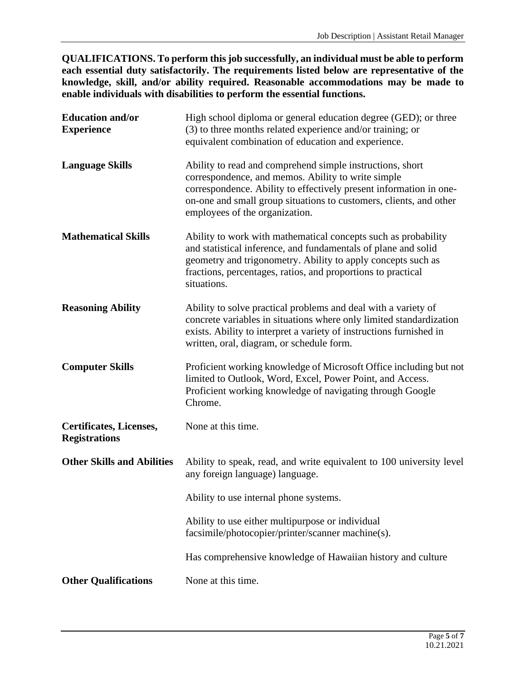**QUALIFICATIONS. To perform this job successfully, an individual must be able to perform each essential duty satisfactorily. The requirements listed below are representative of the knowledge, skill, and/or ability required. Reasonable accommodations may be made to enable individuals with disabilities to perform the essential functions.**

| High school diploma or general education degree (GED); or three<br>(3) to three months related experience and/or training; or<br>equivalent combination of education and experience.                                                                                                          |
|-----------------------------------------------------------------------------------------------------------------------------------------------------------------------------------------------------------------------------------------------------------------------------------------------|
| Ability to read and comprehend simple instructions, short<br>correspondence, and memos. Ability to write simple<br>correspondence. Ability to effectively present information in one-<br>on-one and small group situations to customers, clients, and other<br>employees of the organization. |
| Ability to work with mathematical concepts such as probability<br>and statistical inference, and fundamentals of plane and solid<br>geometry and trigonometry. Ability to apply concepts such as<br>fractions, percentages, ratios, and proportions to practical<br>situations.               |
| Ability to solve practical problems and deal with a variety of<br>concrete variables in situations where only limited standardization<br>exists. Ability to interpret a variety of instructions furnished in<br>written, oral, diagram, or schedule form.                                     |
| Proficient working knowledge of Microsoft Office including but not<br>limited to Outlook, Word, Excel, Power Point, and Access.<br>Proficient working knowledge of navigating through Google<br>Chrome.                                                                                       |
| None at this time.                                                                                                                                                                                                                                                                            |
| Ability to speak, read, and write equivalent to 100 university level<br>any foreign language) language.                                                                                                                                                                                       |
| Ability to use internal phone systems.                                                                                                                                                                                                                                                        |
| Ability to use either multipurpose or individual<br>facsimile/photocopier/printer/scanner machine(s).                                                                                                                                                                                         |
| Has comprehensive knowledge of Hawaiian history and culture                                                                                                                                                                                                                                   |
| None at this time.                                                                                                                                                                                                                                                                            |
|                                                                                                                                                                                                                                                                                               |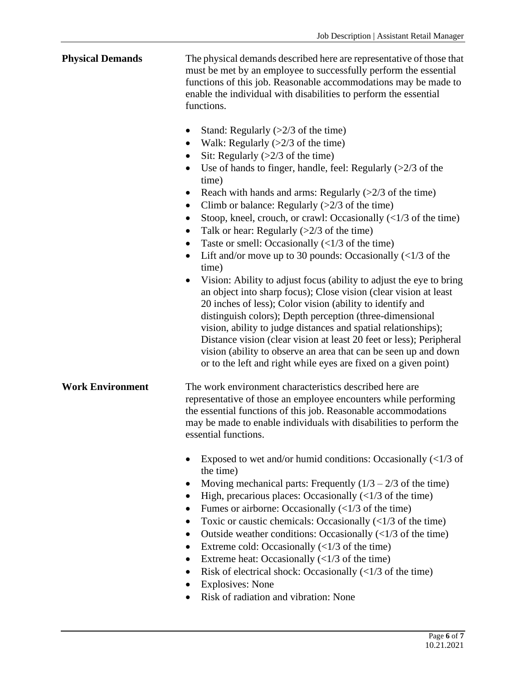| <b>Physical Demands</b> | The physical demands described here are representative of those that<br>must be met by an employee to successfully perform the essential<br>functions of this job. Reasonable accommodations may be made to<br>enable the individual with disabilities to perform the essential<br>functions.<br>Stand: Regularly $(>2/3$ of the time)<br>Walk: Regularly $(>2/3$ of the time)<br>$\bullet$<br>Sit: Regularly $(>2/3$ of the time)<br>Use of hands to finger, handle, feel: Regularly $(>2/3$ of the<br>time)<br>Reach with hands and arms: Regularly $(>2/3$ of the time)<br>$\bullet$<br>Climb or balance: Regularly $(>2/3)$ of the time)<br>$\bullet$<br>Stoop, kneel, crouch, or crawl: Occasionally $\left(\frac{1}{3} \text{ of the time}\right)$<br>Talk or hear: Regularly $(>2/3)$ of the time)<br>Taste or smell: Occasionally $\left(\frac{1}{3} \text{ of the time}\right)$ |
|-------------------------|------------------------------------------------------------------------------------------------------------------------------------------------------------------------------------------------------------------------------------------------------------------------------------------------------------------------------------------------------------------------------------------------------------------------------------------------------------------------------------------------------------------------------------------------------------------------------------------------------------------------------------------------------------------------------------------------------------------------------------------------------------------------------------------------------------------------------------------------------------------------------------------|
|                         | Lift and/or move up to 30 pounds: Occasionally $\left(\frac{1}{3} \text{ of the}\right)$<br>time)<br>Vision: Ability to adjust focus (ability to adjust the eye to bring<br>$\bullet$<br>an object into sharp focus); Close vision (clear vision at least<br>20 inches of less); Color vision (ability to identify and<br>distinguish colors); Depth perception (three-dimensional<br>vision, ability to judge distances and spatial relationships);<br>Distance vision (clear vision at least 20 feet or less); Peripheral<br>vision (ability to observe an area that can be seen up and down<br>or to the left and right while eyes are fixed on a given point)                                                                                                                                                                                                                        |
| <b>Work Environment</b> | The work environment characteristics described here are<br>representative of those an employee encounters while performing<br>the essential functions of this job. Reasonable accommodations<br>may be made to enable individuals with disabilities to perform the<br>essential functions.<br>Exposed to wet and/or humid conditions: Occasionally $\left(\frac{1}{3} \text{ of }\right)$<br>the time)<br>Moving mechanical parts: Frequently $(1/3 – 2/3)$ of the time)<br>High, precarious places: Occasionally $\left(\frac{1}{3} \text{ of the time}\right)$<br>Fumes or airborne: Occasionally $\left\langle \langle 1/3 \rangle \right\rangle$ of the time)<br>Toxic or caustic chemicals: Occasionally $\left(\frac{1}{3} \text{ of the time}\right)$<br>Outside weather conditions: Occasionally $\left(\frac{1}{3} \text{ of the time}\right)$                                  |
|                         | Extreme cold: Occasionally $\left(\frac{1}{3} \text{ of the time}\right)$<br>$\bullet$<br>Extreme heat: Occasionally $\left\langle \langle 1/3 \rangle \right\rangle$ of the time)<br>Risk of electrical shock: Occasionally $\left(\frac{1}{3} \text{ of the time}\right)$<br>$\bullet$<br><b>Explosives: None</b><br>Risk of radiation and vibration: None                                                                                                                                                                                                                                                                                                                                                                                                                                                                                                                             |